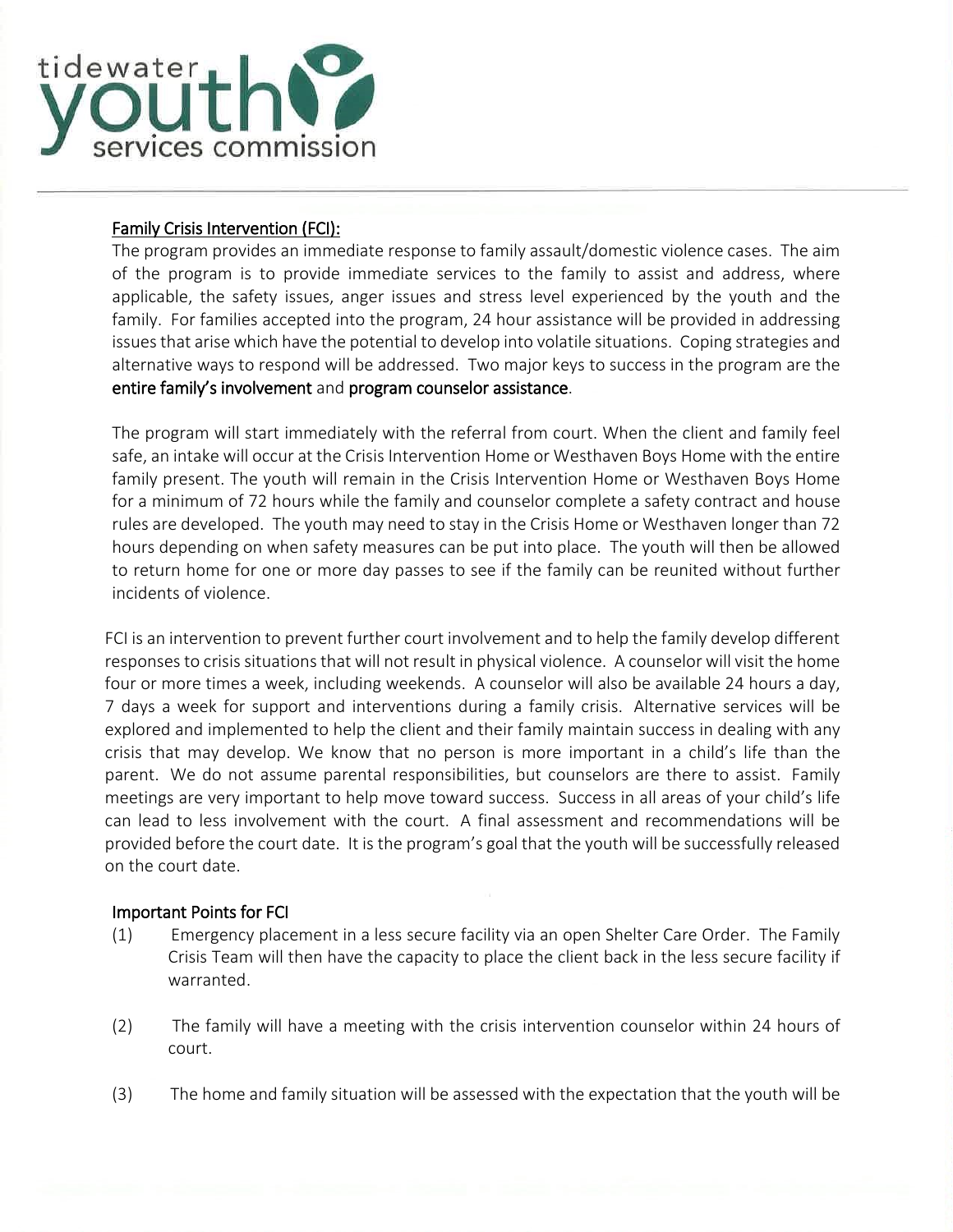

l

## Family Crisis Intervention (FCI):

The program provides an immediate response to family assault/domestic violence cases. The aim of the program is to provide immediate services to the family to assist and address, where applicable, the safety issues, anger issues and stress level experienced by the youth and the family. For families accepted into the program, 24 hour assistance will be provided in addressing issues that arise which have the potential to develop into volatile situations. Coping strategies and alternative ways to respond will be addressed. Two major keys to success in the program are the entire family's involvement and program counselor assistance.

The program will start immediately with the referral from court. When the client and family feel safe, an intake will occur at the Crisis Intervention Home or Westhaven Boys Home with the entire family present. The youth will remain in the Crisis Intervention Home or Westhaven Boys Home for a minimum of 72 hours while the family and counselor complete a safety contract and house rules are developed. The youth may need to stay in the Crisis Home or Westhaven longer than 72 hours depending on when safety measures can be put into place. The youth will then be allowed to return home for one or more day passes to see if the family can be reunited without further incidents of violence.

FCI is an intervention to prevent further court involvement and to help the family develop different responses to crisis situations that will not result in physical violence. A counselor will visit the home four or more times a week, including weekends. A counselor will also be available 24 hours a day, 7 days a week for support and interventions during a family crisis. Alternative services will be explored and implemented to help the client and their family maintain success in dealing with any crisis that may develop. We know that no person is more important in a child's life than the parent. We do not assume parental responsibilities, but counselors are there to assist. Family meetings are very important to help move toward success. Success in all areas of your child's life can lead to less involvement with the court. A final assessment and recommendations will be provided before the court date. It is the program's goal that the youth will be successfully released on the court date.

## Important Points for FCI

- (1) Emergency placement in a less secure facility via an open Shelter Care Order. The Family Crisis Team will then have the capacity to place the client back in the less secure facility if warranted.
- (2) The family will have a meeting with the crisis intervention counselor within 24 hours of court.
- (3) The home and family situation will be assessed with the expectation that the youth will be